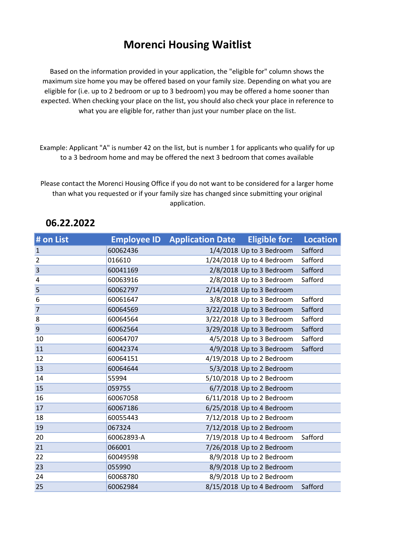## Morenci Housing Waitlist

Based on the information provided in your application, the "eligible for" column shows the maximum size home you may be offered based on your family size. Depending on what you are eligible for (i.e. up to 2 bedroom or up to 3 bedroom) you may be offered a home sooner than expected. When checking your place on the list, you should also check your place in reference to what you are eligible for, rather than just your number place on the list.

Example: Applicant "A" is number 42 on the list, but is number 1 for applicants who qualify for up to a 3 bedroom home and may be offered the next 3 bedroom that comes available

Please contact the Morenci Housing Office if you do not want to be considered for a larger home than what you requested or if your family size has changed since submitting your original application.

| # on List      |            | <b>Employee ID</b> Application Date Eligible for: Location |                           |         |
|----------------|------------|------------------------------------------------------------|---------------------------|---------|
| $\mathbf{1}$   | 60062436   |                                                            | 1/4/2018 Up to 3 Bedroom  | Safford |
| $\overline{2}$ | 016610     |                                                            | 1/24/2018 Up to 4 Bedroom | Safford |
| $\overline{3}$ | 60041169   |                                                            | 2/8/2018 Up to 3 Bedroom  | Safford |
| 4              | 60063916   |                                                            | 2/8/2018 Up to 3 Bedroom  | Safford |
| 5              | 60062797   |                                                            | 2/14/2018 Up to 3 Bedroom |         |
| 6              | 60061647   |                                                            | 3/8/2018 Up to 3 Bedroom  | Safford |
| $\overline{7}$ | 60064569   |                                                            | 3/22/2018 Up to 3 Bedroom | Safford |
| 8              | 60064564   |                                                            | 3/22/2018 Up to 3 Bedroom | Safford |
| 9              | 60062564   |                                                            | 3/29/2018 Up to 3 Bedroom | Safford |
| 10             | 60064707   |                                                            | 4/5/2018 Up to 3 Bedroom  | Safford |
| 11             | 60042374   |                                                            | 4/9/2018 Up to 3 Bedroom  | Safford |
| 12             | 60064151   |                                                            | 4/19/2018 Up to 2 Bedroom |         |
| 13             | 60064644   |                                                            | 5/3/2018 Up to 2 Bedroom  |         |
| 14             | 55994      |                                                            | 5/10/2018 Up to 2 Bedroom |         |
| 15             | 059755     |                                                            | 6/7/2018 Up to 2 Bedroom  |         |
| 16             | 60067058   |                                                            | 6/11/2018 Up to 2 Bedroom |         |
| 17             | 60067186   |                                                            | 6/25/2018 Up to 4 Bedroom |         |
| 18             | 60055443   |                                                            | 7/12/2018 Up to 2 Bedroom |         |
| 19             | 067324     |                                                            | 7/12/2018 Up to 2 Bedroom |         |
| 20             | 60062893-A |                                                            | 7/19/2018 Up to 4 Bedroom | Safford |
| 21             | 066001     |                                                            | 7/26/2018 Up to 2 Bedroom |         |
| 22             | 60049598   |                                                            | 8/9/2018 Up to 2 Bedroom  |         |
| 23             | 055990     |                                                            | 8/9/2018 Up to 2 Bedroom  |         |
| 24             | 60068780   |                                                            | 8/9/2018 Up to 2 Bedroom  |         |
| 25             | 60062984   |                                                            | 8/15/2018 Up to 4 Bedroom | Safford |

## 06.22.2022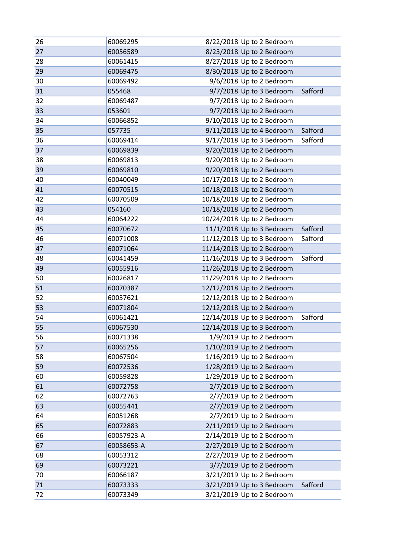| 26 | 60069295   | 8/22/2018 Up to 2 Bedroom             |
|----|------------|---------------------------------------|
| 27 | 60056589   | 8/23/2018 Up to 2 Bedroom             |
| 28 | 60061415   | 8/27/2018 Up to 2 Bedroom             |
| 29 | 60069475   | 8/30/2018 Up to 2 Bedroom             |
| 30 | 60069492   | 9/6/2018 Up to 2 Bedroom              |
| 31 | 055468     | 9/7/2018 Up to 3 Bedroom<br>Safford   |
| 32 | 60069487   | 9/7/2018 Up to 2 Bedroom              |
| 33 | 053601     | 9/7/2018 Up to 2 Bedroom              |
| 34 | 60066852   | 9/10/2018 Up to 2 Bedroom             |
| 35 | 057735     | 9/11/2018 Up to 4 Bedroom<br>Safford  |
| 36 | 60069414   | 9/17/2018 Up to 3 Bedroom<br>Safford  |
| 37 | 60069839   | 9/20/2018 Up to 2 Bedroom             |
| 38 | 60069813   | 9/20/2018 Up to 2 Bedroom             |
| 39 | 60069810   | 9/20/2018 Up to 2 Bedroom             |
| 40 | 60040049   | 10/17/2018 Up to 2 Bedroom            |
| 41 | 60070515   | 10/18/2018 Up to 2 Bedroom            |
| 42 | 60070509   | 10/18/2018 Up to 2 Bedroom            |
| 43 | 054160     | 10/18/2018 Up to 2 Bedroom            |
| 44 | 60064222   | 10/24/2018 Up to 2 Bedroom            |
| 45 | 60070672   | 11/1/2018 Up to 3 Bedroom<br>Safford  |
| 46 | 60071008   | 11/12/2018 Up to 3 Bedroom<br>Safford |
| 47 | 60071064   | 11/14/2018 Up to 2 Bedroom            |
| 48 | 60041459   | 11/16/2018 Up to 3 Bedroom<br>Safford |
| 49 | 60055916   | 11/26/2018 Up to 2 Bedroom            |
| 50 | 60026817   | 11/29/2018 Up to 2 Bedroom            |
| 51 | 60070387   | 12/12/2018 Up to 2 Bedroom            |
| 52 | 60037621   | 12/12/2018 Up to 2 Bedroom            |
| 53 | 60071804   | 12/12/2018 Up to 2 Bedroom            |
| 54 | 60061421   | 12/14/2018 Up to 3 Bedroom<br>Safford |
| 55 | 60067530   | 12/14/2018 Up to 3 Bedroom            |
| 56 | 60071338   | 1/9/2019 Up to 2 Bedroom              |
| 57 | 60065256   | 1/10/2019 Up to 2 Bedroom             |
| 58 | 60067504   | 1/16/2019 Up to 2 Bedroom             |
| 59 | 60072536   | 1/28/2019 Up to 2 Bedroom             |
| 60 | 60059828   | 1/29/2019 Up to 2 Bedroom             |
| 61 | 60072758   | 2/7/2019 Up to 2 Bedroom              |
| 62 | 60072763   | 2/7/2019 Up to 2 Bedroom              |
| 63 | 60055441   | 2/7/2019 Up to 2 Bedroom              |
| 64 | 60051268   | 2/7/2019 Up to 2 Bedroom              |
| 65 | 60072883   | 2/11/2019 Up to 2 Bedroom             |
| 66 | 60057923-A | 2/14/2019 Up to 2 Bedroom             |
| 67 | 60058653-A | 2/27/2019 Up to 2 Bedroom             |
| 68 | 60053312   | 2/27/2019 Up to 2 Bedroom             |
| 69 | 60073221   | 3/7/2019 Up to 2 Bedroom              |
| 70 | 60066187   | 3/21/2019 Up to 2 Bedroom             |
| 71 | 60073333   | 3/21/2019 Up to 3 Bedroom<br>Safford  |
| 72 | 60073349   | 3/21/2019 Up to 2 Bedroom             |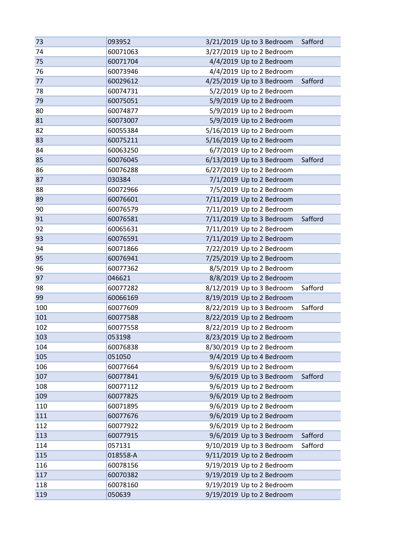| 74<br>60071063<br>3/27/2019 Up to 2 Bedroom<br>4/4/2019 Up to 2 Bedroom<br>75<br>60071704<br>4/4/2019 Up to 2 Bedroom<br>76<br>60073946<br>77<br>4/25/2019 Up to 3 Bedroom<br>Safford<br>60029612<br>5/2/2019 Up to 2 Bedroom<br>78<br>60074731 |  |
|-------------------------------------------------------------------------------------------------------------------------------------------------------------------------------------------------------------------------------------------------|--|
|                                                                                                                                                                                                                                                 |  |
|                                                                                                                                                                                                                                                 |  |
|                                                                                                                                                                                                                                                 |  |
|                                                                                                                                                                                                                                                 |  |
|                                                                                                                                                                                                                                                 |  |
| 79<br>5/9/2019 Up to 2 Bedroom<br>60075051                                                                                                                                                                                                      |  |
| 5/9/2019 Up to 2 Bedroom<br>80<br>60074877                                                                                                                                                                                                      |  |
| 5/9/2019 Up to 2 Bedroom<br>81<br>60073007                                                                                                                                                                                                      |  |
| 5/16/2019 Up to 2 Bedroom<br>82<br>60055384                                                                                                                                                                                                     |  |
| 5/16/2019 Up to 2 Bedroom<br>83<br>60075211                                                                                                                                                                                                     |  |
| 6/7/2019 Up to 2 Bedroom<br>84<br>60063250                                                                                                                                                                                                      |  |
| 6/13/2019 Up to 3 Bedroom<br>85<br>60076045<br>Safford                                                                                                                                                                                          |  |
| 86<br>6/27/2019 Up to 2 Bedroom<br>60076288                                                                                                                                                                                                     |  |
| 7/1/2019 Up to 2 Bedroom<br>87<br>030384                                                                                                                                                                                                        |  |
| 88<br>60072966<br>7/5/2019 Up to 2 Bedroom                                                                                                                                                                                                      |  |
| 7/11/2019 Up to 2 Bedroom<br>89<br>60076601                                                                                                                                                                                                     |  |
| 60076579<br>7/11/2019 Up to 2 Bedroom<br>90                                                                                                                                                                                                     |  |
| 91<br>7/11/2019 Up to 3 Bedroom<br>Safford<br>60076581                                                                                                                                                                                          |  |
| 7/11/2019 Up to 2 Bedroom<br>92<br>60065631                                                                                                                                                                                                     |  |
| 93<br>7/11/2019 Up to 2 Bedroom<br>60076591                                                                                                                                                                                                     |  |
| 7/22/2019 Up to 2 Bedroom<br>94<br>60071866                                                                                                                                                                                                     |  |
| 7/25/2019 Up to 2 Bedroom<br>95<br>60076941                                                                                                                                                                                                     |  |
| 96<br>8/5/2019 Up to 2 Bedroom<br>60077362                                                                                                                                                                                                      |  |
| 8/8/2019 Up to 2 Bedroom<br>97<br>046621                                                                                                                                                                                                        |  |
| 8/12/2019 Up to 3 Bedroom<br>98<br>60077282<br>Safford                                                                                                                                                                                          |  |
| 8/19/2019 Up to 2 Bedroom<br>60066169<br>99                                                                                                                                                                                                     |  |
| 8/22/2019 Up to 3 Bedroom<br>100<br>60077609<br>Safford                                                                                                                                                                                         |  |
| 8/22/2019 Up to 2 Bedroom<br>101<br>60077588                                                                                                                                                                                                    |  |
| 8/22/2019 Up to 2 Bedroom<br>102<br>60077558                                                                                                                                                                                                    |  |
| 8/23/2019 Up to 2 Bedroom<br>103<br>053198                                                                                                                                                                                                      |  |
| 8/30/2019 Up to 2 Bedroom<br>104<br>60076838                                                                                                                                                                                                    |  |
| 105<br>9/4/2019 Up to 4 Bedroom<br>051050                                                                                                                                                                                                       |  |
| 106<br>9/6/2019 Up to 2 Bedroom<br>60077664                                                                                                                                                                                                     |  |
| 107<br>9/6/2019 Up to 3 Bedroom<br>60077841<br>Safford                                                                                                                                                                                          |  |
| 9/6/2019 Up to 2 Bedroom<br>108<br>60077112                                                                                                                                                                                                     |  |
| 9/6/2019 Up to 2 Bedroom<br>109<br>60077825                                                                                                                                                                                                     |  |
| 110<br>9/6/2019 Up to 2 Bedroom<br>60071895                                                                                                                                                                                                     |  |
| 9/6/2019 Up to 2 Bedroom<br>60077676<br>111                                                                                                                                                                                                     |  |
| 9/6/2019 Up to 2 Bedroom<br>112<br>60077922                                                                                                                                                                                                     |  |
| 9/6/2019 Up to 3 Bedroom<br>113<br>Safford<br>60077915                                                                                                                                                                                          |  |
| 9/10/2019 Up to 3 Bedroom<br>Safford<br>114<br>057131                                                                                                                                                                                           |  |
| 9/11/2019 Up to 2 Bedroom<br>115<br>018558-A                                                                                                                                                                                                    |  |
| 9/19/2019 Up to 2 Bedroom<br>116<br>60078156                                                                                                                                                                                                    |  |
| 9/19/2019 Up to 2 Bedroom<br>117<br>60070382                                                                                                                                                                                                    |  |
| 9/19/2019 Up to 2 Bedroom<br>118<br>60078160                                                                                                                                                                                                    |  |
| 9/19/2019 Up to 2 Bedroom<br>119<br>050639                                                                                                                                                                                                      |  |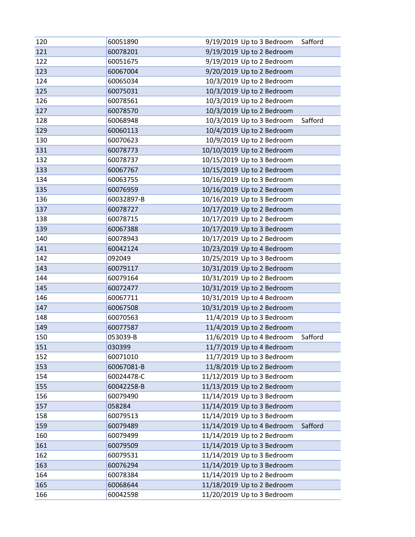| 120 | 60051890   | 9/19/2019 Up to 3 Bedroom  | Safford |
|-----|------------|----------------------------|---------|
| 121 | 60078201   | 9/19/2019 Up to 2 Bedroom  |         |
| 122 | 60051675   | 9/19/2019 Up to 2 Bedroom  |         |
| 123 | 60067004   | 9/20/2019 Up to 2 Bedroom  |         |
| 124 | 60065034   | 10/3/2019 Up to 2 Bedroom  |         |
| 125 | 60075031   | 10/3/2019 Up to 2 Bedroom  |         |
| 126 | 60078561   | 10/3/2019 Up to 2 Bedroom  |         |
| 127 | 60078570   | 10/3/2019 Up to 2 Bedroom  |         |
| 128 | 60068948   | 10/3/2019 Up to 3 Bedroom  | Safford |
| 129 | 60060113   | 10/4/2019 Up to 2 Bedroom  |         |
| 130 | 60070623   | 10/9/2019 Up to 2 Bedroom  |         |
| 131 | 60078773   | 10/10/2019 Up to 2 Bedroom |         |
| 132 | 60078737   | 10/15/2019 Up to 3 Bedroom |         |
| 133 | 60067767   | 10/15/2019 Up to 2 Bedroom |         |
| 134 | 60063755   | 10/16/2019 Up to 3 Bedroom |         |
| 135 | 60076959   | 10/16/2019 Up to 2 Bedroom |         |
| 136 | 60032897-B | 10/16/2019 Up to 3 Bedroom |         |
| 137 | 60078727   | 10/17/2019 Up to 2 Bedroom |         |
| 138 | 60078715   | 10/17/2019 Up to 2 Bedroom |         |
| 139 | 60067388   | 10/17/2019 Up to 3 Bedroom |         |
| 140 | 60078943   | 10/17/2019 Up to 2 Bedroom |         |
| 141 | 60042124   | 10/23/2019 Up to 4 Bedroom |         |
| 142 | 092049     | 10/25/2019 Up to 3 Bedroom |         |
| 143 | 60079117   | 10/31/2019 Up to 2 Bedroom |         |
| 144 | 60079164   | 10/31/2019 Up to 2 Bedroom |         |
| 145 | 60072477   | 10/31/2019 Up to 2 Bedroom |         |
| 146 | 60067711   | 10/31/2019 Up to 4 Bedroom |         |
| 147 | 60067508   | 10/31/2019 Up to 2 Bedroom |         |
| 148 | 60070563   | 11/4/2019 Up to 3 Bedroom  |         |
| 149 | 60077587   | 11/4/2019 Up to 2 Bedroom  |         |
| 150 | 053039-B   | 11/6/2019 Up to 4 Bedroom  | Safford |
| 151 | 030399     | 11/7/2019 Up to 4 Bedroom  |         |
| 152 | 60071010   | 11/7/2019 Up to 3 Bedroom  |         |
| 153 | 60067081-B | 11/8/2019 Up to 2 Bedroom  |         |
| 154 | 60024478-C | 11/12/2019 Up to 3 Bedroom |         |
| 155 | 60042258-B | 11/13/2019 Up to 2 Bedroom |         |
| 156 | 60079490   | 11/14/2019 Up to 3 Bedroom |         |
| 157 | 058284     | 11/14/2019 Up to 3 Bedroom |         |
| 158 | 60079513   | 11/14/2019 Up to 3 Bedroom |         |
| 159 | 60079489   | 11/14/2019 Up to 4 Bedroom | Safford |
| 160 | 60079499   | 11/14/2019 Up to 2 Bedroom |         |
| 161 | 60079509   | 11/14/2019 Up to 3 Bedroom |         |
| 162 | 60079531   | 11/14/2019 Up to 3 Bedroom |         |
| 163 | 60076294   | 11/14/2019 Up to 3 Bedroom |         |
| 164 | 60078384   | 11/14/2019 Up to 2 Bedroom |         |
| 165 | 60068644   | 11/18/2019 Up to 2 Bedroom |         |
| 166 | 60042598   | 11/20/2019 Up to 3 Bedroom |         |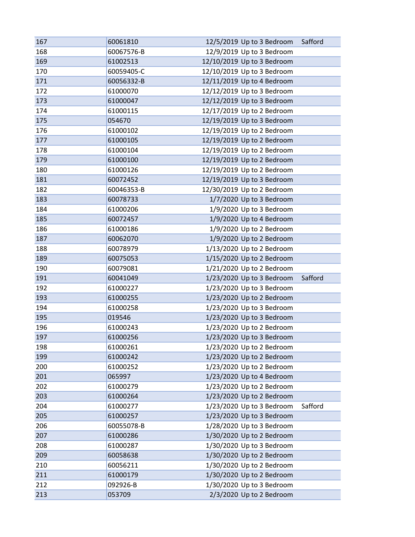| 167 | 60061810   | 12/5/2019 Up to 3 Bedroom  | Safford |
|-----|------------|----------------------------|---------|
| 168 | 60067576-B | 12/9/2019 Up to 3 Bedroom  |         |
| 169 | 61002513   | 12/10/2019 Up to 3 Bedroom |         |
| 170 | 60059405-C | 12/10/2019 Up to 3 Bedroom |         |
| 171 | 60056332-B | 12/11/2019 Up to 4 Bedroom |         |
| 172 | 61000070   | 12/12/2019 Up to 3 Bedroom |         |
| 173 | 61000047   | 12/12/2019 Up to 3 Bedroom |         |
| 174 | 61000115   | 12/17/2019 Up to 2 Bedroom |         |
| 175 | 054670     | 12/19/2019 Up to 3 Bedroom |         |
| 176 | 61000102   | 12/19/2019 Up to 2 Bedroom |         |
| 177 | 61000105   | 12/19/2019 Up to 2 Bedroom |         |
| 178 | 61000104   | 12/19/2019 Up to 2 Bedroom |         |
| 179 | 61000100   | 12/19/2019 Up to 2 Bedroom |         |
| 180 | 61000126   | 12/19/2019 Up to 2 Bedroom |         |
| 181 | 60072452   | 12/19/2019 Up to 3 Bedroom |         |
| 182 | 60046353-B | 12/30/2019 Up to 2 Bedroom |         |
| 183 | 60078733   | 1/7/2020 Up to 3 Bedroom   |         |
| 184 | 61000206   | 1/9/2020 Up to 3 Bedroom   |         |
| 185 | 60072457   | 1/9/2020 Up to 4 Bedroom   |         |
| 186 | 61000186   | 1/9/2020 Up to 2 Bedroom   |         |
| 187 | 60062070   | 1/9/2020 Up to 2 Bedroom   |         |
| 188 | 60078979   | 1/13/2020 Up to 2 Bedroom  |         |
| 189 | 60075053   | 1/15/2020 Up to 2 Bedroom  |         |
| 190 | 60079081   | 1/21/2020 Up to 2 Bedroom  |         |
| 191 | 60041049   | 1/23/2020 Up to 3 Bedroom  | Safford |
| 192 | 61000227   | 1/23/2020 Up to 3 Bedroom  |         |
| 193 | 61000255   | 1/23/2020 Up to 2 Bedroom  |         |
| 194 | 61000258   | 1/23/2020 Up to 3 Bedroom  |         |
| 195 | 019546     | 1/23/2020 Up to 3 Bedroom  |         |
| 196 | 61000243   | 1/23/2020 Up to 2 Bedroom  |         |
| 197 | 61000256   | 1/23/2020 Up to 3 Bedroom  |         |
| 198 | 61000261   | 1/23/2020 Up to 2 Bedroom  |         |
| 199 | 61000242   | 1/23/2020 Up to 2 Bedroom  |         |
| 200 | 61000252   | 1/23/2020 Up to 2 Bedroom  |         |
| 201 | 065997     | 1/23/2020 Up to 4 Bedroom  |         |
| 202 | 61000279   | 1/23/2020 Up to 2 Bedroom  |         |
| 203 | 61000264   | 1/23/2020 Up to 2 Bedroom  |         |
| 204 | 61000277   | 1/23/2020 Up to 3 Bedroom  | Safford |
| 205 | 61000257   | 1/23/2020 Up to 3 Bedroom  |         |
| 206 | 60055078-B | 1/28/2020 Up to 3 Bedroom  |         |
| 207 | 61000286   | 1/30/2020 Up to 2 Bedroom  |         |
| 208 | 61000287   | 1/30/2020 Up to 3 Bedroom  |         |
| 209 | 60058638   | 1/30/2020 Up to 2 Bedroom  |         |
| 210 | 60056211   | 1/30/2020 Up to 2 Bedroom  |         |
| 211 | 61000179   | 1/30/2020 Up to 2 Bedroom  |         |
| 212 | 092926-B   | 1/30/2020 Up to 3 Bedroom  |         |
| 213 | 053709     | 2/3/2020 Up to 2 Bedroom   |         |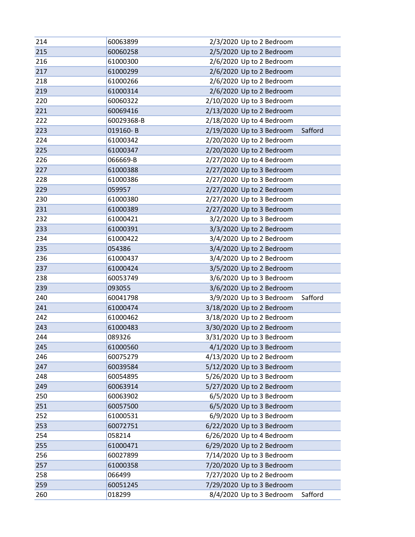| 214 | 60063899   | 2/3/2020 Up to 2 Bedroom             |  |
|-----|------------|--------------------------------------|--|
| 215 | 60060258   | 2/5/2020 Up to 2 Bedroom             |  |
| 216 | 61000300   | 2/6/2020 Up to 2 Bedroom             |  |
| 217 | 61000299   | 2/6/2020 Up to 2 Bedroom             |  |
| 218 | 61000266   | 2/6/2020 Up to 2 Bedroom             |  |
| 219 | 61000314   | 2/6/2020 Up to 2 Bedroom             |  |
| 220 | 60060322   | 2/10/2020 Up to 3 Bedroom            |  |
| 221 | 60069416   | 2/13/2020 Up to 2 Bedroom            |  |
| 222 | 60029368-B | 2/18/2020 Up to 4 Bedroom            |  |
| 223 | 019160-B   | 2/19/2020 Up to 3 Bedroom<br>Safford |  |
| 224 | 61000342   | 2/20/2020 Up to 2 Bedroom            |  |
| 225 | 61000347   | 2/20/2020 Up to 2 Bedroom            |  |
| 226 | 066669-B   | 2/27/2020 Up to 4 Bedroom            |  |
| 227 | 61000388   | 2/27/2020 Up to 3 Bedroom            |  |
| 228 | 61000386   | 2/27/2020 Up to 3 Bedroom            |  |
| 229 | 059957     | 2/27/2020 Up to 2 Bedroom            |  |
| 230 | 61000380   | 2/27/2020 Up to 3 Bedroom            |  |
| 231 | 61000389   | 2/27/2020 Up to 3 Bedroom            |  |
| 232 | 61000421   | 3/2/2020 Up to 3 Bedroom             |  |
| 233 | 61000391   | 3/3/2020 Up to 2 Bedroom             |  |
| 234 | 61000422   | 3/4/2020 Up to 2 Bedroom             |  |
| 235 | 054386     | 3/4/2020 Up to 2 Bedroom             |  |
| 236 | 61000437   | 3/4/2020 Up to 2 Bedroom             |  |
| 237 | 61000424   | 3/5/2020 Up to 2 Bedroom             |  |
| 238 | 60053749   | 3/6/2020 Up to 3 Bedroom             |  |
| 239 | 093055     | 3/6/2020 Up to 2 Bedroom             |  |
| 240 | 60041798   | 3/9/2020 Up to 3 Bedroom<br>Safford  |  |
| 241 | 61000474   | 3/18/2020 Up to 2 Bedroom            |  |
| 242 | 61000462   | 3/18/2020 Up to 2 Bedroom            |  |
| 243 | 61000483   | 3/30/2020 Up to 2 Bedroom            |  |
| 244 | 089326     | 3/31/2020 Up to 3 Bedroom            |  |
| 245 | 61000560   | 4/1/2020 Up to 3 Bedroom             |  |
| 246 | 60075279   | 4/13/2020 Up to 2 Bedroom            |  |
| 247 | 60039584   | 5/12/2020 Up to 3 Bedroom            |  |
| 248 | 60054895   | 5/26/2020 Up to 3 Bedroom            |  |
| 249 | 60063914   | 5/27/2020 Up to 2 Bedroom            |  |
| 250 | 60063902   | 6/5/2020 Up to 3 Bedroom             |  |
| 251 | 60057500   | 6/5/2020 Up to 3 Bedroom             |  |
| 252 | 61000531   | 6/9/2020 Up to 3 Bedroom             |  |
| 253 | 60072751   | 6/22/2020 Up to 3 Bedroom            |  |
| 254 | 058214     | 6/26/2020 Up to 4 Bedroom            |  |
| 255 | 61000471   | 6/29/2020 Up to 2 Bedroom            |  |
| 256 | 60027899   | 7/14/2020 Up to 3 Bedroom            |  |
| 257 | 61000358   | 7/20/2020 Up to 3 Bedroom            |  |
| 258 | 066499     | 7/27/2020 Up to 2 Bedroom            |  |
| 259 | 60051245   | 7/29/2020 Up to 3 Bedroom            |  |
| 260 | 018299     | 8/4/2020 Up to 3 Bedroom<br>Safford  |  |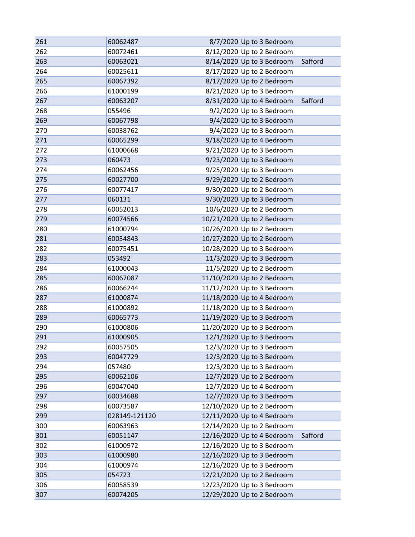| 261 | 60062487      | 8/7/2020 Up to 3 Bedroom              |
|-----|---------------|---------------------------------------|
| 262 | 60072461      | 8/12/2020 Up to 2 Bedroom             |
| 263 | 60063021      | 8/14/2020 Up to 3 Bedroom<br>Safford  |
| 264 | 60025611      | 8/17/2020 Up to 2 Bedroom             |
| 265 | 60067392      | 8/17/2020 Up to 2 Bedroom             |
| 266 | 61000199      | 8/21/2020 Up to 3 Bedroom             |
| 267 | 60063207      | 8/31/2020 Up to 4 Bedroom<br>Safford  |
| 268 | 055496        | 9/2/2020 Up to 3 Bedroom              |
| 269 | 60067798      | 9/4/2020 Up to 3 Bedroom              |
| 270 | 60038762      | 9/4/2020 Up to 3 Bedroom              |
| 271 | 60065299      | 9/18/2020 Up to 4 Bedroom             |
| 272 | 61000668      | 9/21/2020 Up to 3 Bedroom             |
| 273 | 060473        | 9/23/2020 Up to 3 Bedroom             |
| 274 | 60062456      | 9/25/2020 Up to 3 Bedroom             |
| 275 | 60027700      | 9/29/2020 Up to 2 Bedroom             |
| 276 | 60077417      | 9/30/2020 Up to 2 Bedroom             |
| 277 | 060131        | 9/30/2020 Up to 3 Bedroom             |
| 278 | 60052013      | 10/6/2020 Up to 2 Bedroom             |
| 279 | 60074566      | 10/21/2020 Up to 2 Bedroom            |
| 280 | 61000794      | 10/26/2020 Up to 2 Bedroom            |
| 281 | 60034843      | 10/27/2020 Up to 2 Bedroom            |
| 282 | 60075451      | 10/28/2020 Up to 3 Bedroom            |
| 283 | 053492        | 11/3/2020 Up to 3 Bedroom             |
| 284 | 61000043      | 11/5/2020 Up to 2 Bedroom             |
| 285 | 60067087      | 11/10/2020 Up to 2 Bedroom            |
| 286 | 60066244      | 11/12/2020 Up to 3 Bedroom            |
| 287 | 61000874      | 11/18/2020 Up to 4 Bedroom            |
| 288 | 61000892      | 11/18/2020 Up to 3 Bedroom            |
| 289 | 60065773      | 11/19/2020 Up to 3 Bedroom            |
| 290 | 61000806      | 11/20/2020 Up to 3 Bedroom            |
| 291 | 61000905      | 12/1/2020 Up to 3 Bedroom             |
| 292 | 60057505      | 12/3/2020 Up to 3 Bedroom             |
| 293 | 60047729      | 12/3/2020 Up to 3 Bedroom             |
| 294 | 057480        | 12/3/2020 Up to 3 Bedroom             |
| 295 | 60062106      | 12/7/2020 Up to 2 Bedroom             |
| 296 | 60047040      | 12/7/2020 Up to 4 Bedroom             |
| 297 | 60034688      | 12/7/2020 Up to 3 Bedroom             |
| 298 | 60073587      | 12/10/2020 Up to 2 Bedroom            |
| 299 | 028149-121120 | 12/11/2020 Up to 4 Bedroom            |
| 300 | 60063963      | 12/14/2020 Up to 2 Bedroom            |
| 301 | 60051147      | 12/16/2020 Up to 4 Bedroom<br>Safford |
| 302 | 61000972      | 12/16/2020 Up to 3 Bedroom            |
| 303 | 61000980      | 12/16/2020 Up to 3 Bedroom            |
| 304 | 61000974      | 12/16/2020 Up to 3 Bedroom            |
| 305 | 054723        | 12/21/2020 Up to 2 Bedroom            |
| 306 | 60058539      | 12/23/2020 Up to 3 Bedroom            |
| 307 | 60074205      | 12/29/2020 Up to 2 Bedroom            |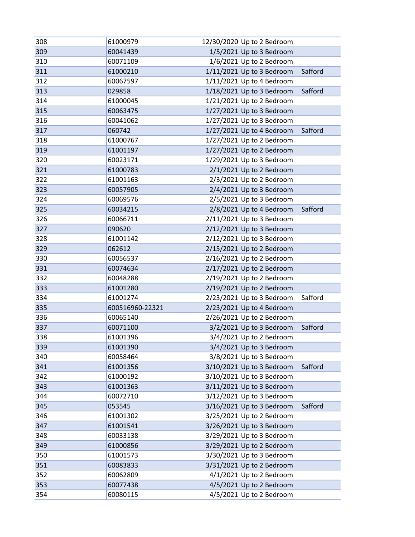| 308 | 61000979        | 12/30/2020 Up to 2 Bedroom           |
|-----|-----------------|--------------------------------------|
| 309 | 60041439        | 1/5/2021 Up to 3 Bedroom             |
| 310 | 60071109        | 1/6/2021 Up to 2 Bedroom             |
| 311 | 61000210        | 1/11/2021 Up to 3 Bedroom<br>Safford |
| 312 | 60067597        | 1/11/2021 Up to 4 Bedroom            |
| 313 | 029858          | 1/18/2021 Up to 3 Bedroom<br>Safford |
| 314 | 61000045        | 1/21/2021 Up to 2 Bedroom            |
| 315 | 60063475        | 1/27/2021 Up to 3 Bedroom            |
| 316 | 60041062        | 1/27/2021 Up to 3 Bedroom            |
| 317 | 060742          | 1/27/2021 Up to 4 Bedroom<br>Safford |
| 318 | 61000767        | 1/27/2021 Up to 2 Bedroom            |
| 319 | 61001197        | 1/27/2021 Up to 2 Bedroom            |
| 320 | 60023171        | 1/29/2021 Up to 3 Bedroom            |
| 321 | 61000783        | 2/1/2021 Up to 2 Bedroom             |
| 322 | 61001163        | 2/3/2021 Up to 2 Bedroom             |
| 323 | 60057905        | 2/4/2021 Up to 3 Bedroom             |
| 324 | 60069576        | 2/5/2021 Up to 3 Bedroom             |
| 325 | 60034215        | 2/8/2021 Up to 4 Bedroom<br>Safford  |
| 326 | 60066711        | 2/11/2021 Up to 3 Bedroom            |
| 327 | 090620          | 2/12/2021 Up to 3 Bedroom            |
| 328 | 61001142        | 2/12/2021 Up to 3 Bedroom            |
| 329 | 062612          | 2/15/2021 Up to 2 Bedroom            |
| 330 | 60056537        | 2/16/2021 Up to 2 Bedroom            |
| 331 | 60074634        | 2/17/2021 Up to 2 Bedroom            |
| 332 | 60048288        | 2/19/2021 Up to 2 Bedroom            |
| 333 | 61001280        | 2/19/2021 Up to 2 Bedroom            |
| 334 | 61001274        | 2/23/2021 Up to 3 Bedroom<br>Safford |
| 335 | 600516960-22321 | 2/23/2021 Up to 4 Bedroom            |
| 336 | 60065140        | 2/26/2021 Up to 2 Bedroom            |
| 337 | 60071100        | 3/2/2021 Up to 3 Bedroom<br>Safford  |
| 338 | 61001396        | 3/4/2021 Up to 2 Bedroom             |
| 339 | 61001390        | 3/4/2021 Up to 3 Bedroom             |
| 340 | 60058464        | 3/8/2021 Up to 3 Bedroom             |
| 341 | 61001356        | 3/10/2021 Up to 3 Bedroom<br>Safford |
| 342 | 61000192        | 3/10/2021 Up to 3 Bedroom            |
| 343 | 61001363        | 3/11/2021 Up to 3 Bedroom            |
| 344 | 60072710        | 3/12/2021 Up to 3 Bedroom            |
| 345 | 053545          | 3/16/2021 Up to 3 Bedroom<br>Safford |
| 346 | 61001302        | 3/25/2021 Up to 2 Bedroom            |
| 347 | 61001541        | 3/26/2021 Up to 3 Bedroom            |
| 348 | 60033138        | 3/29/2021 Up to 3 Bedroom            |
| 349 | 61000856        | 3/29/2021 Up to 2 Bedroom            |
| 350 | 61001573        | 3/30/2021 Up to 3 Bedroom            |
| 351 | 60083833        | 3/31/2021 Up to 2 Bedroom            |
| 352 | 60062809        | 4/1/2021 Up to 2 Bedroom             |
| 353 | 60077438        | 4/5/2021 Up to 2 Bedroom             |
| 354 | 60080115        | 4/5/2021 Up to 2 Bedroom             |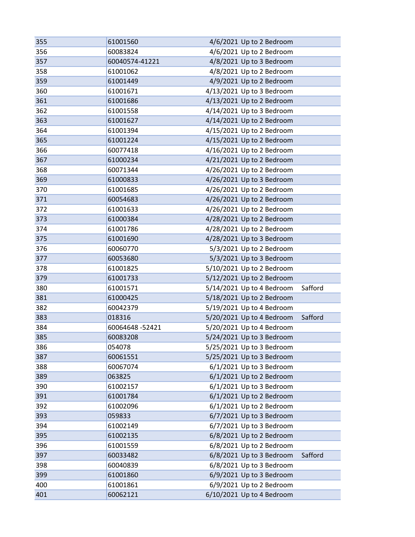| 355 | 61001560       | 4/6/2021 Up to 2 Bedroom  |         |
|-----|----------------|---------------------------|---------|
| 356 | 60083824       | 4/6/2021 Up to 2 Bedroom  |         |
| 357 | 60040574-41221 | 4/8/2021 Up to 3 Bedroom  |         |
| 358 | 61001062       | 4/8/2021 Up to 2 Bedroom  |         |
| 359 | 61001449       | 4/9/2021 Up to 2 Bedroom  |         |
| 360 | 61001671       | 4/13/2021 Up to 3 Bedroom |         |
| 361 | 61001686       | 4/13/2021 Up to 2 Bedroom |         |
| 362 | 61001558       | 4/14/2021 Up to 3 Bedroom |         |
| 363 | 61001627       | 4/14/2021 Up to 2 Bedroom |         |
| 364 | 61001394       | 4/15/2021 Up to 2 Bedroom |         |
| 365 | 61001224       | 4/15/2021 Up to 2 Bedroom |         |
| 366 | 60077418       | 4/16/2021 Up to 2 Bedroom |         |
| 367 | 61000234       | 4/21/2021 Up to 2 Bedroom |         |
| 368 | 60071344       | 4/26/2021 Up to 2 Bedroom |         |
| 369 | 61000833       | 4/26/2021 Up to 3 Bedroom |         |
| 370 | 61001685       | 4/26/2021 Up to 2 Bedroom |         |
| 371 | 60054683       | 4/26/2021 Up to 2 Bedroom |         |
| 372 | 61001633       | 4/26/2021 Up to 2 Bedroom |         |
| 373 | 61000384       | 4/28/2021 Up to 2 Bedroom |         |
| 374 | 61001786       | 4/28/2021 Up to 2 Bedroom |         |
| 375 | 61001690       | 4/28/2021 Up to 3 Bedroom |         |
| 376 | 60060770       | 5/3/2021 Up to 2 Bedroom  |         |
| 377 | 60053680       | 5/3/2021 Up to 3 Bedroom  |         |
| 378 | 61001825       | 5/10/2021 Up to 2 Bedroom |         |
| 379 | 61001733       | 5/12/2021 Up to 2 Bedroom |         |
| 380 | 61001571       | 5/14/2021 Up to 4 Bedroom | Safford |
| 381 | 61000425       | 5/18/2021 Up to 2 Bedroom |         |
| 382 | 60042379       | 5/19/2021 Up to 4 Bedroom |         |
| 383 | 018316         | 5/20/2021 Up to 4 Bedroom | Safford |
| 384 | 60064648-52421 | 5/20/2021 Up to 4 Bedroom |         |
| 385 | 60083208       | 5/24/2021 Up to 3 Bedroom |         |
| 386 | 054078         | 5/25/2021 Up to 3 Bedroom |         |
| 387 | 60061551       | 5/25/2021 Up to 3 Bedroom |         |
| 388 | 60067074       | 6/1/2021 Up to 3 Bedroom  |         |
| 389 | 063825         | 6/1/2021 Up to 2 Bedroom  |         |
| 390 | 61002157       | 6/1/2021 Up to 3 Bedroom  |         |
| 391 | 61001784       | 6/1/2021 Up to 2 Bedroom  |         |
| 392 | 61002096       | 6/1/2021 Up to 2 Bedroom  |         |
| 393 | 059833         | 6/7/2021 Up to 3 Bedroom  |         |
| 394 | 61002149       | 6/7/2021 Up to 3 Bedroom  |         |
| 395 | 61002135       | 6/8/2021 Up to 2 Bedroom  |         |
| 396 | 61001559       | 6/8/2021 Up to 2 Bedroom  |         |
| 397 | 60033482       | 6/8/2021 Up to 3 Bedroom  | Safford |
| 398 | 60040839       | 6/8/2021 Up to 3 Bedroom  |         |
| 399 | 61001860       | 6/9/2021 Up to 3 Bedroom  |         |
| 400 | 61001861       | 6/9/2021 Up to 2 Bedroom  |         |
| 401 | 60062121       | 6/10/2021 Up to 4 Bedroom |         |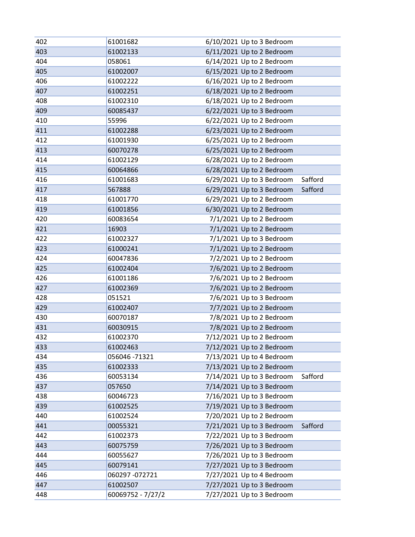| 402 | 61001682          | 6/10/2021 Up to 3 Bedroom            |
|-----|-------------------|--------------------------------------|
| 403 | 61002133          | 6/11/2021 Up to 2 Bedroom            |
| 404 | 058061            | 6/14/2021 Up to 2 Bedroom            |
| 405 | 61002007          | 6/15/2021 Up to 2 Bedroom            |
| 406 | 61002222          | 6/16/2021 Up to 2 Bedroom            |
| 407 | 61002251          | 6/18/2021 Up to 2 Bedroom            |
| 408 | 61002310          | 6/18/2021 Up to 2 Bedroom            |
| 409 | 60085437          | 6/22/2021 Up to 3 Bedroom            |
| 410 | 55996             | 6/22/2021 Up to 2 Bedroom            |
| 411 | 61002288          | 6/23/2021 Up to 2 Bedroom            |
| 412 | 61001930          | 6/25/2021 Up to 2 Bedroom            |
| 413 | 60070278          | 6/25/2021 Up to 2 Bedroom            |
| 414 | 61002129          | 6/28/2021 Up to 2 Bedroom            |
| 415 | 60064866          | 6/28/2021 Up to 2 Bedroom            |
| 416 | 61001683          | 6/29/2021 Up to 3 Bedroom<br>Safford |
| 417 | 567888            | 6/29/2021 Up to 3 Bedroom<br>Safford |
| 418 | 61001770          | 6/29/2021 Up to 2 Bedroom            |
| 419 | 61001856          | 6/30/2021 Up to 2 Bedroom            |
| 420 | 60083654          | 7/1/2021 Up to 2 Bedroom             |
| 421 | 16903             | 7/1/2021 Up to 2 Bedroom             |
| 422 | 61002327          | 7/1/2021 Up to 3 Bedroom             |
| 423 | 61000241          | 7/1/2021 Up to 2 Bedroom             |
| 424 | 60047836          | 7/2/2021 Up to 2 Bedroom             |
| 425 | 61002404          | 7/6/2021 Up to 2 Bedroom             |
| 426 | 61001186          | 7/6/2021 Up to 2 Bedroom             |
| 427 | 61002369          | 7/6/2021 Up to 2 Bedroom             |
| 428 | 051521            | 7/6/2021 Up to 3 Bedroom             |
| 429 | 61002407          | 7/7/2021 Up to 2 Bedroom             |
| 430 | 60070187          | 7/8/2021 Up to 2 Bedroom             |
| 431 | 60030915          | 7/8/2021 Up to 2 Bedroom             |
| 432 | 61002370          | 7/12/2021 Up to 2 Bedroom            |
| 433 | 61002463          | 7/12/2021 Up to 2 Bedroom            |
| 434 | 056046 -71321     | 7/13/2021 Up to 4 Bedroom            |
| 435 | 61002333          | 7/13/2021 Up to 2 Bedroom            |
| 436 | 60053134          | 7/14/2021 Up to 3 Bedroom<br>Safford |
| 437 | 057650            | 7/14/2021 Up to 3 Bedroom            |
| 438 | 60046723          | 7/16/2021 Up to 3 Bedroom            |
| 439 | 61002525          | 7/19/2021 Up to 3 Bedroom            |
| 440 | 61002524          | 7/20/2021 Up to 2 Bedroom            |
| 441 | 00055321          | 7/21/2021 Up to 3 Bedroom<br>Safford |
| 442 | 61002373          | 7/22/2021 Up to 3 Bedroom            |
| 443 | 60075759          | 7/26/2021 Up to 3 Bedroom            |
| 444 | 60055627          | 7/26/2021 Up to 3 Bedroom            |
| 445 | 60079141          | 7/27/2021 Up to 3 Bedroom            |
| 446 | 060297 -072721    | 7/27/2021 Up to 4 Bedroom            |
| 447 | 61002507          | 7/27/2021 Up to 3 Bedroom            |
| 448 | 60069752 - 7/27/2 | 7/27/2021 Up to 3 Bedroom            |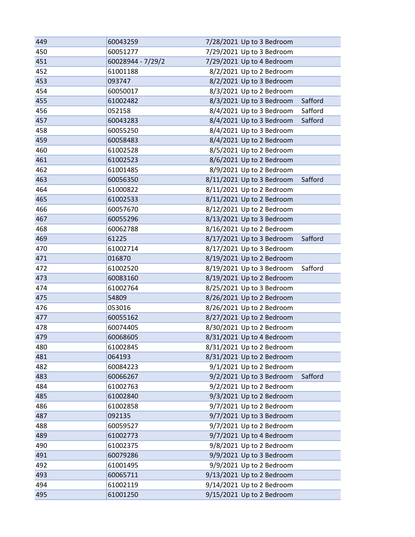| 449 | 60043259          | 7/28/2021 Up to 3 Bedroom            |
|-----|-------------------|--------------------------------------|
| 450 | 60051277          | 7/29/2021 Up to 3 Bedroom            |
| 451 | 60028944 - 7/29/2 | 7/29/2021 Up to 4 Bedroom            |
| 452 | 61001188          | 8/2/2021 Up to 2 Bedroom             |
| 453 | 093747            | 8/2/2021 Up to 3 Bedroom             |
| 454 | 60050017          | 8/3/2021 Up to 2 Bedroom             |
| 455 | 61002482          | 8/3/2021 Up to 3 Bedroom<br>Safford  |
| 456 | 052158            | 8/4/2021 Up to 3 Bedroom<br>Safford  |
| 457 | 60043283          | 8/4/2021 Up to 3 Bedroom<br>Safford  |
| 458 | 60055250          | 8/4/2021 Up to 3 Bedroom             |
| 459 | 60058483          | 8/4/2021 Up to 2 Bedroom             |
| 460 | 61002528          | 8/5/2021 Up to 2 Bedroom             |
| 461 | 61002523          | 8/6/2021 Up to 2 Bedroom             |
| 462 | 61001485          | 8/9/2021 Up to 2 Bedroom             |
| 463 | 60056350          | 8/11/2021 Up to 3 Bedroom<br>Safford |
| 464 | 61000822          | 8/11/2021 Up to 2 Bedroom            |
| 465 | 61002533          | 8/11/2021 Up to 2 Bedroom            |
| 466 | 60057670          | 8/12/2021 Up to 2 Bedroom            |
| 467 | 60055296          | 8/13/2021 Up to 3 Bedroom            |
| 468 | 60062788          | 8/16/2021 Up to 2 Bedroom            |
| 469 | 61225             | 8/17/2021 Up to 3 Bedroom<br>Safford |
| 470 | 61002714          | 8/17/2021 Up to 3 Bedroom            |
| 471 | 016870            | 8/19/2021 Up to 2 Bedroom            |
| 472 | 61002520          | 8/19/2021 Up to 3 Bedroom<br>Safford |
| 473 | 60083160          | 8/19/2021 Up to 2 Bedroom            |
| 474 | 61002764          | 8/25/2021 Up to 3 Bedroom            |
| 475 | 54809             | 8/26/2021 Up to 2 Bedroom            |
| 476 | 053016            | 8/26/2021 Up to 2 Bedroom            |
| 477 | 60055162          | 8/27/2021 Up to 2 Bedroom            |
| 478 | 60074405          | 8/30/2021 Up to 2 Bedroom            |
| 479 | 60068605          | 8/31/2021 Up to 4 Bedroom            |
| 480 | 61002845          | 8/31/2021 Up to 2 Bedroom            |
| 481 | 064193            | 8/31/2021 Up to 2 Bedroom            |
| 482 | 60084223          | 9/1/2021 Up to 2 Bedroom             |
| 483 | 60066267          | 9/2/2021 Up to 3 Bedroom<br>Safford  |
| 484 | 61002763          | 9/2/2021 Up to 2 Bedroom             |
| 485 | 61002840          | 9/3/2021 Up to 2 Bedroom             |
| 486 | 61002858          | 9/7/2021 Up to 2 Bedroom             |
| 487 | 092135            | 9/7/2021 Up to 3 Bedroom             |
| 488 | 60059527          | 9/7/2021 Up to 2 Bedroom             |
| 489 | 61002773          | 9/7/2021 Up to 4 Bedroom             |
| 490 | 61002375          | 9/8/2021 Up to 2 Bedroom             |
| 491 | 60079286          | 9/9/2021 Up to 3 Bedroom             |
| 492 | 61001495          | 9/9/2021 Up to 2 Bedroom             |
| 493 | 60065711          | 9/13/2021 Up to 2 Bedroom            |
| 494 | 61002119          | 9/14/2021 Up to 2 Bedroom            |
| 495 | 61001250          | 9/15/2021 Up to 2 Bedroom            |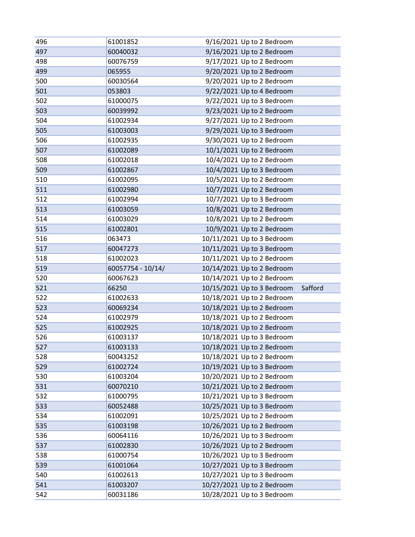| 496        | 61001852             | 9/16/2021 Up to 2 Bedroom                                |
|------------|----------------------|----------------------------------------------------------|
| 497        | 60040032             | 9/16/2021 Up to 2 Bedroom                                |
| 498        | 60076759             | 9/17/2021 Up to 2 Bedroom                                |
| 499        | 065955               | 9/20/2021 Up to 2 Bedroom                                |
| 500        | 60030564             | 9/20/2021 Up to 2 Bedroom                                |
| 501        | 053803               | 9/22/2021 Up to 4 Bedroom                                |
| 502        | 61000075             | 9/22/2021 Up to 3 Bedroom                                |
| 503        | 60039992             | 9/23/2021 Up to 2 Bedroom                                |
| 504        | 61002934             | 9/27/2021 Up to 2 Bedroom                                |
| 505        | 61003003             | 9/29/2021 Up to 3 Bedroom                                |
| 506        | 61002935             | 9/30/2021 Up to 2 Bedroom                                |
| 507        | 61002089             | 10/1/2021 Up to 2 Bedroom                                |
| 508        | 61002018             | 10/4/2021 Up to 2 Bedroom                                |
| 509        | 61002867             | 10/4/2021 Up to 3 Bedroom                                |
| 510        | 61002095             | 10/5/2021 Up to 2 Bedroom                                |
| 511        | 61002980             | 10/7/2021 Up to 2 Bedroom                                |
| 512        | 61002994             | 10/7/2021 Up to 3 Bedroom                                |
| 513        | 61003059             | 10/8/2021 Up to 2 Bedroom                                |
| 514        | 61003029             | 10/8/2021 Up to 2 Bedroom                                |
| 515        | 61002801             | 10/9/2021 Up to 2 Bedroom                                |
| 516        | 063473               | 10/11/2021 Up to 3 Bedroom                               |
| 517        | 60047273             | 10/11/2021 Up to 3 Bedroom                               |
| 518        | 61002023             | 10/11/2021 Up to 2 Bedroom                               |
|            |                      |                                                          |
| 519        | 60057754 - 10/14/    | 10/14/2021 Up to 2 Bedroom                               |
| 520        | 60067623             | 10/14/2021 Up to 2 Bedroom                               |
| 521        | 66250                | 10/15/2021 Up to 3 Bedroom<br>Safford                    |
| 522        | 61002633             | 10/18/2021 Up to 2 Bedroom                               |
| 523        | 60069234             | 10/18/2021 Up to 2 Bedroom                               |
| 524        | 61002979             | 10/18/2021 Up to 2 Bedroom                               |
| 525        | 61002925             | 10/18/2021 Up to 2 Bedroom                               |
| 526        | 61003137             | 10/18/2021 Up to 3 Bedroom                               |
| 527        | 61003133             | 10/18/2021 Up to 2 Bedroom                               |
| 528        | 60043252             | 10/18/2021 Up to 2 Bedroom                               |
| 529        | 61002724             | 10/19/2021 Up to 3 Bedroom                               |
| 530        | 61003204             | 10/20/2021 Up to 2 Bedroom                               |
| 531        | 60070210             | 10/21/2021 Up to 2 Bedroom                               |
| 532        | 61000795             | 10/21/2021 Up to 3 Bedroom                               |
| 533        | 60052488             | 10/25/2021 Up to 3 Bedroom                               |
| 534        | 61002091             | 10/25/2021 Up to 2 Bedroom                               |
| 535        | 61003198             | 10/26/2021 Up to 2 Bedroom                               |
| 536        | 60064116             | 10/26/2021 Up to 3 Bedroom                               |
| 537        | 61002830             | 10/26/2021 Up to 2 Bedroom                               |
| 538        | 61000754             | 10/26/2021 Up to 3 Bedroom                               |
| 539        | 61001064             | 10/27/2021 Up to 3 Bedroom                               |
| 540        | 61002613             | 10/27/2021 Up to 3 Bedroom                               |
| 541<br>542 | 61003207<br>60031186 | 10/27/2021 Up to 2 Bedroom<br>10/28/2021 Up to 3 Bedroom |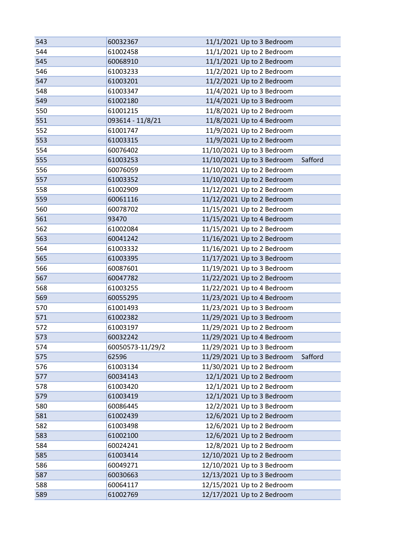| 543 | 60032367         | 11/1/2021 Up to 3 Bedroom  |         |
|-----|------------------|----------------------------|---------|
| 544 | 61002458         | 11/1/2021 Up to 2 Bedroom  |         |
| 545 | 60068910         | 11/1/2021 Up to 2 Bedroom  |         |
| 546 | 61003233         | 11/2/2021 Up to 2 Bedroom  |         |
| 547 | 61003201         | 11/2/2021 Up to 2 Bedroom  |         |
| 548 | 61003347         | 11/4/2021 Up to 3 Bedroom  |         |
| 549 | 61002180         | 11/4/2021 Up to 3 Bedroom  |         |
| 550 | 61001215         | 11/8/2021 Up to 2 Bedroom  |         |
| 551 | 093614 - 11/8/21 | 11/8/2021 Up to 4 Bedroom  |         |
| 552 | 61001747         | 11/9/2021 Up to 2 Bedroom  |         |
| 553 | 61003315         | 11/9/2021 Up to 2 Bedroom  |         |
| 554 | 60076402         | 11/10/2021 Up to 3 Bedroom |         |
| 555 | 61003253         | 11/10/2021 Up to 3 Bedroom | Safford |
| 556 | 60076059         | 11/10/2021 Up to 2 Bedroom |         |
| 557 | 61003352         | 11/10/2021 Up to 2 Bedroom |         |
| 558 | 61002909         | 11/12/2021 Up to 2 Bedroom |         |
| 559 | 60061116         | 11/12/2021 Up to 2 Bedroom |         |
| 560 | 60078702         | 11/15/2021 Up to 2 Bedroom |         |
| 561 | 93470            | 11/15/2021 Up to 4 Bedroom |         |
| 562 | 61002084         | 11/15/2021 Up to 2 Bedroom |         |
| 563 | 60041242         | 11/16/2021 Up to 2 Bedroom |         |
| 564 | 61003332         | 11/16/2021 Up to 2 Bedroom |         |
| 565 | 61003395         | 11/17/2021 Up to 3 Bedroom |         |
| 566 | 60087601         | 11/19/2021 Up to 3 Bedroom |         |
| 567 | 60047782         | 11/22/2021 Up to 2 Bedroom |         |
| 568 | 61003255         | 11/22/2021 Up to 4 Bedroom |         |
| 569 | 60055295         | 11/23/2021 Up to 4 Bedroom |         |
| 570 | 61001493         | 11/23/2021 Up to 3 Bedroom |         |
| 571 | 61002382         | 11/29/2021 Up to 3 Bedroom |         |
| 572 | 61003197         | 11/29/2021 Up to 2 Bedroom |         |
| 573 | 60032242         | 11/29/2021 Up to 4 Bedroom |         |
| 574 | 60050573-11/29/2 | 11/29/2021 Up to 3 Bedroom |         |
| 575 | 62596            | 11/29/2021 Up to 3 Bedroom | Safford |
| 576 | 61003134         | 11/30/2021 Up to 2 Bedroom |         |
| 577 | 60034143         | 12/1/2021 Up to 2 Bedroom  |         |
| 578 | 61003420         | 12/1/2021 Up to 2 Bedroom  |         |
| 579 | 61003419         | 12/1/2021 Up to 3 Bedroom  |         |
| 580 | 60086445         | 12/2/2021 Up to 3 Bedroom  |         |
| 581 | 61002439         | 12/6/2021 Up to 2 Bedroom  |         |
| 582 | 61003498         | 12/6/2021 Up to 2 Bedroom  |         |
| 583 | 61002100         | 12/6/2021 Up to 2 Bedroom  |         |
| 584 | 60024241         | 12/8/2021 Up to 2 Bedroom  |         |
| 585 | 61003414         | 12/10/2021 Up to 2 Bedroom |         |
| 586 | 60049271         | 12/10/2021 Up to 3 Bedroom |         |
| 587 | 60030663         | 12/13/2021 Up to 3 Bedroom |         |
| 588 | 60064117         | 12/15/2021 Up to 2 Bedroom |         |
| 589 | 61002769         | 12/17/2021 Up to 2 Bedroom |         |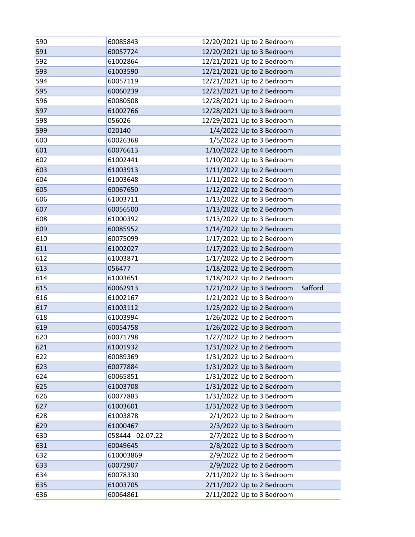| 590        | 60085843             | 12/20/2021 Up to 2 Bedroom                             |
|------------|----------------------|--------------------------------------------------------|
| 591        | 60057724             | 12/20/2021 Up to 3 Bedroom                             |
| 592        | 61002864             | 12/21/2021 Up to 2 Bedroom                             |
| 593        | 61003590             | 12/21/2021 Up to 2 Bedroom                             |
| 594        | 60057119             | 12/21/2021 Up to 2 Bedroom                             |
| 595        | 60060239             | 12/23/2021 Up to 2 Bedroom                             |
| 596        | 60080508             | 12/28/2021 Up to 2 Bedroom                             |
| 597        | 61002766             | 12/28/2021 Up to 3 Bedroom                             |
| 598        | 056026               | 12/29/2021 Up to 3 Bedroom                             |
| 599        | 020140               | 1/4/2022 Up to 3 Bedroom                               |
| 600        | 60026368             | 1/5/2022 Up to 3 Bedroom                               |
| 601        | 60076613             | 1/10/2022 Up to 4 Bedroom                              |
| 602        | 61002441             | 1/10/2022 Up to 3 Bedroom                              |
| 603        | 61003913             | 1/11/2022 Up to 2 Bedroom                              |
| 604        | 61003648             | 1/11/2022 Up to 2 Bedroom                              |
| 605        | 60067650             | 1/12/2022 Up to 2 Bedroom                              |
| 606        | 61003711             | 1/13/2022 Up to 3 Bedroom                              |
| 607        | 60056500             | 1/13/2022 Up to 2 Bedroom                              |
| 608        | 61000392             | 1/13/2022 Up to 3 Bedroom                              |
| 609        | 60085952             | 1/14/2022 Up to 2 Bedroom                              |
| 610        | 60075099             | 1/17/2022 Up to 2 Bedroom                              |
| 611        | 61002027             | 1/17/2022 Up to 2 Bedroom                              |
| 612        | 61003871             | 1/17/2022 Up to 2 Bedroom                              |
| 613        | 056477               | 1/18/2022 Up to 2 Bedroom                              |
| 614        | 61003651             | 1/18/2022 Up to 2 Bedroom                              |
| 615        | 60062913             | 1/21/2022 Up to 3 Bedroom<br>Safford                   |
| 616        | 61002167             | 1/21/2022 Up to 3 Bedroom                              |
| 617        | 61003112             | 1/25/2022 Up to 2 Bedroom                              |
|            |                      |                                                        |
| 618        | 61003994             | 1/26/2022 Up to 2 Bedroom                              |
| 619        | 60054758             | 1/26/2022 Up to 3 Bedroom                              |
| 620        | 60071798             | 1/27/2022 Up to 2 Bedroom                              |
| 621        | 61001932             | 1/31/2022 Up to 2 Bedroom                              |
| 622        | 60089369             | 1/31/2022 Up to 2 Bedroom                              |
| 623        | 60077884             | 1/31/2022 Up to 3 Bedroom                              |
| 624        | 60065851             | 1/31/2022 Up to 2 Bedroom                              |
| 625        | 61003708             | 1/31/2022 Up to 2 Bedroom                              |
| 626        | 60077883             | 1/31/2022 Up to 3 Bedroom                              |
| 627        | 61003601             | 1/31/2022 Up to 3 Bedroom                              |
| 628        | 61003878             | $2/1/2022$ Up to 2 Bedroom                             |
| 629        | 61000467             | 2/3/2022 Up to 3 Bedroom                               |
| 630        | 058444 - 02.07.22    | 2/7/2022 Up to 3 Bedroom                               |
| 631        | 60049645             | 2/8/2022 Up to 3 Bedroom                               |
| 632        | 610003869            | 2/9/2022 Up to 2 Bedroom                               |
| 633        | 60072907             | 2/9/2022 Up to 2 Bedroom                               |
| 634        | 60078330             | 2/11/2022 Up to 3 Bedroom                              |
| 635<br>636 | 61003705<br>60064861 | 2/11/2022 Up to 2 Bedroom<br>2/11/2022 Up to 3 Bedroom |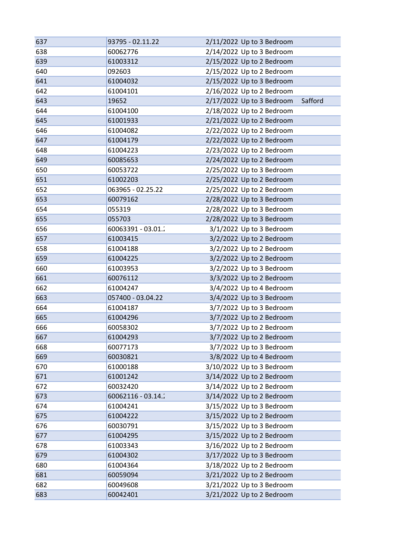| 637 | 93795 - 02.11.22   | 2/11/2022 Up to 3 Bedroom            |
|-----|--------------------|--------------------------------------|
| 638 | 60062776           | 2/14/2022 Up to 3 Bedroom            |
| 639 | 61003312           | 2/15/2022 Up to 2 Bedroom            |
| 640 | 092603             | 2/15/2022 Up to 2 Bedroom            |
| 641 | 61004032           | 2/15/2022 Up to 3 Bedroom            |
| 642 | 61004101           | 2/16/2022 Up to 2 Bedroom            |
| 643 | 19652              | 2/17/2022 Up to 3 Bedroom<br>Safford |
| 644 | 61004100           | 2/18/2022 Up to 2 Bedroom            |
| 645 | 61001933           | 2/21/2022 Up to 2 Bedroom            |
| 646 | 61004082           | 2/22/2022 Up to 2 Bedroom            |
| 647 | 61004179           | 2/22/2022 Up to 2 Bedroom            |
| 648 | 61004223           | 2/23/2022 Up to 2 Bedroom            |
| 649 | 60085653           | 2/24/2022 Up to 2 Bedroom            |
| 650 | 60053722           | 2/25/2022 Up to 3 Bedroom            |
| 651 | 61002203           | 2/25/2022 Up to 2 Bedroom            |
| 652 | 063965 - 02.25.22  | 2/25/2022 Up to 2 Bedroom            |
| 653 | 60079162           | 2/28/2022 Up to 3 Bedroom            |
| 654 | 055319             | 2/28/2022 Up to 3 Bedroom            |
| 655 | 055703             | 2/28/2022 Up to 3 Bedroom            |
| 656 | 60063391 - 03.01.2 | 3/1/2022 Up to 3 Bedroom             |
| 657 | 61003415           | 3/2/2022 Up to 2 Bedroom             |
| 658 | 61004188           | 3/2/2022 Up to 2 Bedroom             |
| 659 | 61004225           | 3/2/2022 Up to 2 Bedroom             |
| 660 | 61003953           | 3/2/2022 Up to 3 Bedroom             |
| 661 | 60076112           | 3/3/2022 Up to 2 Bedroom             |
| 662 | 61004247           | 3/4/2022 Up to 4 Bedroom             |
| 663 | 057400 - 03.04.22  | 3/4/2022 Up to 3 Bedroom             |
| 664 | 61004187           | 3/7/2022 Up to 3 Bedroom             |
| 665 | 61004296           | 3/7/2022 Up to 2 Bedroom             |
| 666 | 60058302           | 3/7/2022 Up to 2 Bedroom             |
| 667 | 61004293           | 3/7/2022 Up to 2 Bedroom             |
| 668 | 60077173           | 3/7/2022 Up to 3 Bedroom             |
| 669 | 60030821           | 3/8/2022 Up to 4 Bedroom             |
| 670 | 61000188           | 3/10/2022 Up to 3 Bedroom            |
| 671 | 61001242           | 3/14/2022 Up to 2 Bedroom            |
| 672 | 60032420           | 3/14/2022 Up to 2 Bedroom            |
| 673 | 60062116 - 03.14.2 | 3/14/2022 Up to 2 Bedroom            |
| 674 | 61004241           | 3/15/2022 Up to 3 Bedroom            |
| 675 | 61004222           | 3/15/2022 Up to 2 Bedroom            |
| 676 | 60030791           | 3/15/2022 Up to 3 Bedroom            |
| 677 | 61004295           | 3/15/2022 Up to 2 Bedroom            |
| 678 | 61003343           | 3/16/2022 Up to 2 Bedroom            |
| 679 | 61004302           | 3/17/2022 Up to 3 Bedroom            |
| 680 | 61004364           | 3/18/2022 Up to 2 Bedroom            |
| 681 | 60059094           | 3/21/2022 Up to 2 Bedroom            |
| 682 | 60049608           | 3/21/2022 Up to 3 Bedroom            |
| 683 | 60042401           | 3/21/2022 Up to 2 Bedroom            |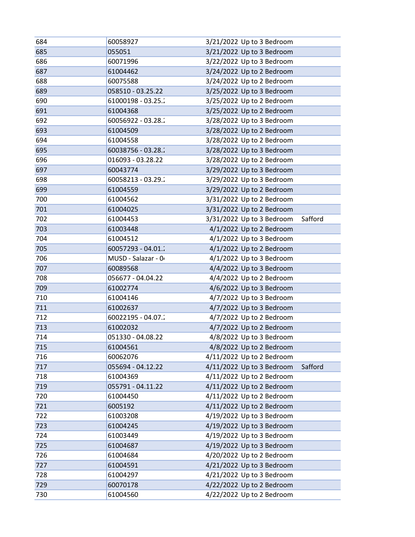| 684 | 60058927            | 3/21/2022 Up to 3 Bedroom            |
|-----|---------------------|--------------------------------------|
| 685 | 055051              | 3/21/2022 Up to 3 Bedroom            |
| 686 | 60071996            | 3/22/2022 Up to 3 Bedroom            |
| 687 | 61004462            | 3/24/2022 Up to 2 Bedroom            |
| 688 | 60075588            | 3/24/2022 Up to 2 Bedroom            |
| 689 | 058510 - 03.25.22   | 3/25/2022 Up to 3 Bedroom            |
| 690 | 61000198 - 03.25.2  | 3/25/2022 Up to 2 Bedroom            |
| 691 | 61004368            | 3/25/2022 Up to 2 Bedroom            |
| 692 | 60056922 - 03.28.2  | 3/28/2022 Up to 3 Bedroom            |
| 693 | 61004509            | 3/28/2022 Up to 2 Bedroom            |
| 694 | 61004558            | 3/28/2022 Up to 2 Bedroom            |
| 695 | 60038756 - 03.28.2  | 3/28/2022 Up to 3 Bedroom            |
| 696 | 016093 - 03.28.22   | 3/28/2022 Up to 2 Bedroom            |
| 697 | 60043774            | 3/29/2022 Up to 3 Bedroom            |
| 698 | 60058213 - 03.29.2  | 3/29/2022 Up to 3 Bedroom            |
| 699 | 61004559            | 3/29/2022 Up to 2 Bedroom            |
| 700 | 61004562            | 3/31/2022 Up to 2 Bedroom            |
| 701 | 61004025            | 3/31/2022 Up to 2 Bedroom            |
| 702 | 61004453            | 3/31/2022 Up to 3 Bedroom<br>Safford |
| 703 | 61003448            | 4/1/2022 Up to 2 Bedroom             |
| 704 | 61004512            | 4/1/2022 Up to 3 Bedroom             |
| 705 | 60057293 - 04.01.2  | 4/1/2022 Up to 2 Bedroom             |
| 706 | MUSD - Salazar - 04 | 4/1/2022 Up to 3 Bedroom             |
| 707 | 60089568            | 4/4/2022 Up to 3 Bedroom             |
| 708 | 056677 - 04.04.22   | 4/4/2022 Up to 2 Bedroom             |
| 709 | 61002774            | 4/6/2022 Up to 3 Bedroom             |
| 710 | 61004146            | 4/7/2022 Up to 3 Bedroom             |
| 711 | 61002637            | 4/7/2022 Up to 3 Bedroom             |
| 712 | 60022195 - 04.07.2  | 4/7/2022 Up to 2 Bedroom             |
| 713 | 61002032            | 4/7/2022 Up to 2 Bedroom             |
| 714 | 051330 - 04.08.22   | 4/8/2022 Up to 3 Bedroom             |
| 715 | 61004561            | 4/8/2022 Up to 2 Bedroom             |
| 716 | 60062076            | 4/11/2022 Up to 2 Bedroom            |
| 717 | 055694 - 04.12.22   | 4/11/2022 Up to 3 Bedroom<br>Safford |
| 718 | 61004369            | 4/11/2022 Up to 2 Bedroom            |
| 719 | 055791 - 04.11.22   | 4/11/2022 Up to 2 Bedroom            |
| 720 | 61004450            | 4/11/2022 Up to 2 Bedroom            |
| 721 | 6005192             | 4/11/2022 Up to 2 Bedroom            |
| 722 | 61003208            | 4/19/2022 Up to 3 Bedroom            |
| 723 | 61004245            | 4/19/2022 Up to 3 Bedroom            |
| 724 | 61003449            | 4/19/2022 Up to 3 Bedroom            |
| 725 | 61004687            | 4/19/2022 Up to 3 Bedroom            |
| 726 | 61004684            | 4/20/2022 Up to 2 Bedroom            |
| 727 | 61004591            | 4/21/2022 Up to 3 Bedroom            |
| 728 | 61004297            | 4/21/2022 Up to 3 Bedroom            |
| 729 | 60070178            | 4/22/2022 Up to 2 Bedroom            |
| 730 | 61004560            | 4/22/2022 Up to 2 Bedroom            |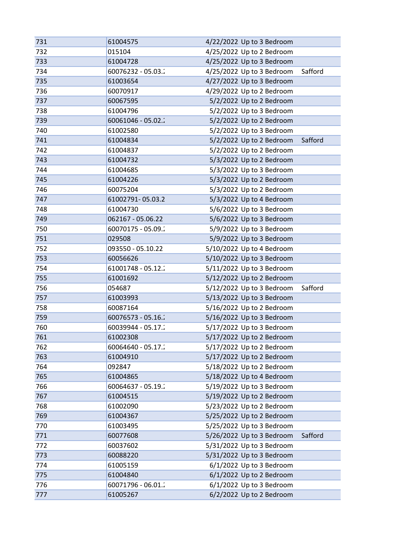| 731 | 61004575           | 4/22/2022 Up to 3 Bedroom            |
|-----|--------------------|--------------------------------------|
| 732 | 015104             | 4/25/2022 Up to 2 Bedroom            |
| 733 | 61004728           | 4/25/2022 Up to 3 Bedroom            |
| 734 | 60076232 - 05.03.2 | 4/25/2022 Up to 3 Bedroom<br>Safford |
| 735 | 61003654           | 4/27/2022 Up to 3 Bedroom            |
| 736 | 60070917           | 4/29/2022 Up to 2 Bedroom            |
| 737 | 60067595           | 5/2/2022 Up to 2 Bedroom             |
| 738 | 61004796           | 5/2/2022 Up to 3 Bedroom             |
| 739 | 60061046 - 05.02.2 | 5/2/2022 Up to 2 Bedroom             |
| 740 | 61002580           | 5/2/2022 Up to 3 Bedroom             |
| 741 | 61004834           | 5/2/2022 Up to 2 Bedroom<br>Safford  |
| 742 | 61004837           | 5/2/2022 Up to 2 Bedroom             |
| 743 | 61004732           | 5/3/2022 Up to 2 Bedroom             |
| 744 | 61004685           | 5/3/2022 Up to 3 Bedroom             |
| 745 | 61004226           | 5/3/2022 Up to 2 Bedroom             |
| 746 | 60075204           | 5/3/2022 Up to 2 Bedroom             |
| 747 | 61002791-05.03.2   | 5/3/2022 Up to 4 Bedroom             |
| 748 | 61004730           | 5/6/2022 Up to 3 Bedroom             |
| 749 | 062167 - 05.06.22  | 5/6/2022 Up to 3 Bedroom             |
| 750 | 60070175 - 05.09.2 | 5/9/2022 Up to 3 Bedroom             |
| 751 | 029508             | 5/9/2022 Up to 3 Bedroom             |
| 752 | 093550 - 05.10.22  | 5/10/2022 Up to 4 Bedroom            |
| 753 | 60056626           | 5/10/2022 Up to 3 Bedroom            |
| 754 | 61001748 - 05.12.2 | 5/11/2022 Up to 3 Bedroom            |
| 755 | 61001692           | 5/12/2022 Up to 2 Bedroom            |
| 756 | 054687             | 5/12/2022 Up to 3 Bedroom<br>Safford |
| 757 | 61003993           | 5/13/2022 Up to 3 Bedroom            |
| 758 | 60087164           | 5/16/2022 Up to 2 Bedroom            |
| 759 | 60076573 - 05.16.2 | 5/16/2022 Up to 3 Bedroom            |
| 760 | 60039944 - 05.17.2 | 5/17/2022 Up to 3 Bedroom            |
| 761 | 61002308           | 5/17/2022 Up to 2 Bedroom            |
| 762 | 60064640 - 05.17.2 | 5/17/2022 Up to 2 Bedroom            |
| 763 | 61004910           | 5/17/2022 Up to 2 Bedroom            |
| 764 | 092847             | 5/18/2022 Up to 2 Bedroom            |
| 765 | 61004865           | 5/18/2022 Up to 4 Bedroom            |
| 766 | 60064637 - 05.19.2 | 5/19/2022 Up to 3 Bedroom            |
| 767 | 61004515           | 5/19/2022 Up to 2 Bedroom            |
| 768 | 61002090           | 5/23/2022 Up to 2 Bedroom            |
| 769 | 61004367           | 5/25/2022 Up to 2 Bedroom            |
| 770 | 61003495           | 5/25/2022 Up to 3 Bedroom            |
| 771 | 60077608           | 5/26/2022 Up to 3 Bedroom<br>Safford |
| 772 | 60037602           | 5/31/2022 Up to 3 Bedroom            |
| 773 | 60088220           | 5/31/2022 Up to 3 Bedroom            |
| 774 | 61005159           | 6/1/2022 Up to 3 Bedroom             |
| 775 | 61004840           | 6/1/2022 Up to 2 Bedroom             |
| 776 | 60071796 - 06.01.2 | 6/1/2022 Up to 3 Bedroom             |
| 777 | 61005267           | 6/2/2022 Up to 2 Bedroom             |